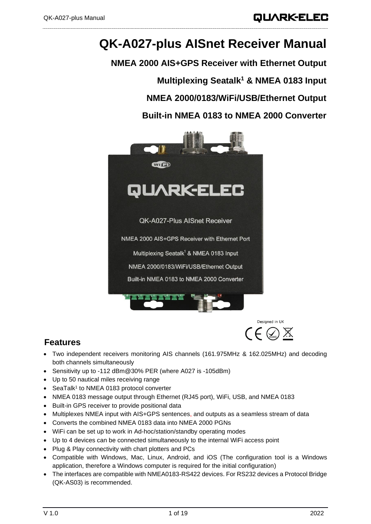# **QK-A027-plus AISnet Receiver Manual**

**NMEA 2000 AIS+GPS Receiver with Ethernet Output Multiplexing Seatalk<sup>1</sup> & NMEA 0183 Input NMEA 2000/0183/WiFi/USB/Ethernet Output Built-in NMEA 0183 to NMEA 2000 Converter**



Designed in UK  $\mathcal{C} \in \mathbb{Q} \boxtimes$ 

## **Features**

- Two independent receivers monitoring AIS channels (161.975MHz & 162.025MHz) and decoding both channels simultaneously
- Sensitivity up to -112 dBm@30% PER (where A027 is -105dBm)
- Up to 50 nautical miles receiving range
- SeaTalk<sup>1</sup> to NMEA 0183 protocol converter
- NMEA 0183 message output through Ethernet (RJ45 port), WiFi, USB, and NMEA 0183
- Built-in GPS receiver to provide positional data
- Multiplexes NMEA input with AIS+GPS sentences, and outputs as a seamless stream of data
- Converts the combined NMEA 0183 data into NMEA 2000 PGNs
- WiFi can be set up to work in Ad-hoc/station/standby operating modes
- Up to 4 devices can be connected simultaneously to the internal WiFi access point
- Plug & Play connectivity with chart plotters and PCs
- Compatible with Windows, Mac, Linux, Android, and iOS (The configuration tool is a Windows application, therefore a Windows computer is required for the initial configuration)
- The interfaces are compatible with NMEA0183-RS422 devices. For RS232 devices a Protocol Bridge (QK-AS03) is recommended.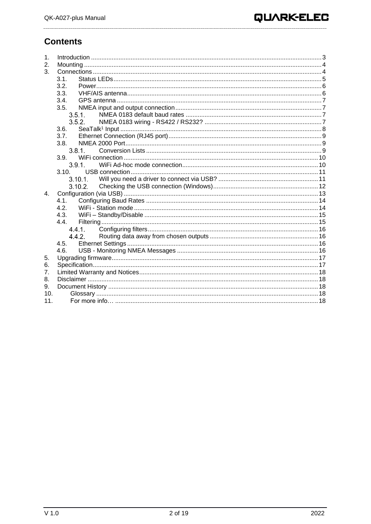## **Contents**

| 1.<br>2.        |           |  |
|-----------------|-----------|--|
| 3.              |           |  |
|                 | 3.1.      |  |
|                 | 3.2.      |  |
|                 | 3.3.      |  |
|                 | 3.4.      |  |
|                 | 3.5.      |  |
|                 | $3.5.1$ . |  |
|                 | 3.5.2.    |  |
|                 | 3.6.      |  |
|                 | 3.7.      |  |
|                 | 3.8.      |  |
|                 | 3.8.1     |  |
|                 | 3.9.      |  |
|                 | 3.9.1.    |  |
|                 | 3.10.     |  |
|                 |           |  |
|                 | 3.10.2.   |  |
| $4_{\cdot}$     |           |  |
|                 | 4.1.      |  |
|                 | 4.2.      |  |
|                 | 4.3.      |  |
|                 | 4.4.      |  |
|                 |           |  |
|                 | 4.4.2     |  |
|                 | 4.5.      |  |
|                 | 4.6.      |  |
| 5.              |           |  |
| 6.              |           |  |
| 7 <sub>1</sub>  |           |  |
| 8.              |           |  |
| 9.              |           |  |
| 10 <sub>1</sub> |           |  |
| 11 <sub>1</sub> |           |  |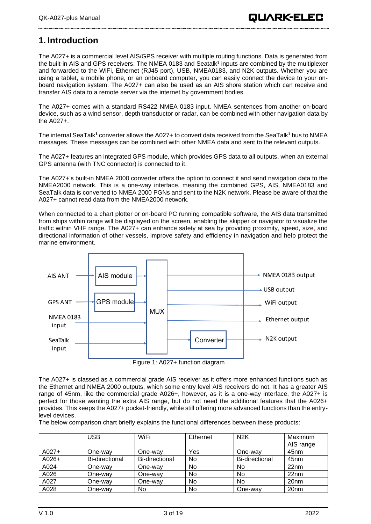## <span id="page-2-0"></span>**1. Introduction**

The A027+ is a commercial level AIS/GPS receiver with multiple routing functions. Data is generated from the built-in AIS and GPS receivers. The NMEA 0183 and Seatalk<sup>1</sup> inputs are combined by the multiplexer and forwarded to the WiFi, Ethernet (RJ45 port), USB, NMEA0183, and N2K outputs. Whether you are using a tablet, a mobile phone, or an onboard computer, you can easily connect the device to your onboard navigation system. The A027+ can also be used as an AIS shore station which can receive and transfer AIS data to a remote server via the internet by government bodies.

The A027+ comes with a standard RS422 NMEA 0183 input. NMEA sentences from another on-board device, such as a wind sensor, depth transductor or radar, can be combined with other navigation data by the A027+.

The internal SeaTalk**<sup>1</sup>** converter allows the A027+ to convert data received from the SeaTalk**<sup>1</sup>** bus to NMEA messages. These messages can be combined with other NMEA data and sent to the relevant outputs.

The A027+ features an integrated GPS module, which provides GPS data to all outputs. when an external GPS antenna (with TNC connector) is connected to it.

The A027+'s built-in NMEA 2000 converter offers the option to connect it and send navigation data to the NMEA2000 network. This is a one-way interface, meaning the combined GPS, AIS, NMEA0183 and SeaTalk data is converted to NMEA 2000 PGNs and sent to the N2K network. Please be aware of that the A027+ cannot read data from the NMEA2000 network.

When connected to a chart plotter or on-board PC running compatible software, the AIS data transmitted from ships within range will be displayed on the screen, enabling the skipper or navigator to visualize the traffic within VHF range. The A027+ can enhance safety at sea by providing proximity, speed, size, and directional information of other vessels, improve safety and efficiency in navigation and help protect the marine environment.



The A027+ is classed as a commercial grade AIS receiver as it offers more enhanced functions such as the Ethernet and NMEA 2000 outputs, which some entry level AIS receivers do not. It has a greater AIS range of 45nm, like the commercial grade A026+, however, as it is a one-way interface, the A027+ is perfect for those wanting the extra AIS range, but do not need the additional features that the A026+ provides. This keeps the A027+ pocket-friendly, while still offering more advanced functions than the entrylevel devices.

The below comparison chart briefly explains the functional differences between these products:

|         | USB                   | WiFi                  | Ethernet | N <sub>2</sub> K | Maximum<br>AIS range |
|---------|-----------------------|-----------------------|----------|------------------|----------------------|
| $A027+$ | One-way               | One-way               | Yes      | One-way          | 45 <sub>nm</sub>     |
| $A026+$ | <b>Bi-directional</b> | <b>Bi-directional</b> | No       | Bi-directional   | 45 <sub>nm</sub>     |
| A024    | One-way               | One-way               | No       | No               | 22nm                 |
| A026    | One-way               | One-way               | No       | No               | 22nm                 |
| A027    | One-way               | One-wav               | No       | No               | 20 <sub>nm</sub>     |
| A028    | One-way               | No                    | No       | One-way          | 20 <sub>nm</sub>     |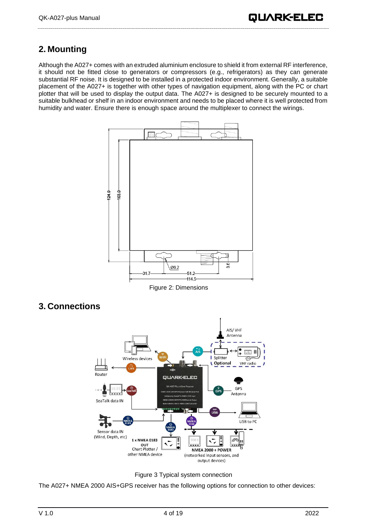## <span id="page-3-0"></span>**2. Mounting**

Although the A027+ comes with an extruded aluminium enclosure to shield it from external RF interference, it should not be fitted close to generators or compressors (e.g., refrigerators) as they can generate substantial RF noise. It is designed to be installed in a protected indoor environment. Generally, a suitable placement of the A027+ is together with other types of navigation equipment, along with the PC or chart plotter that will be used to display the output data. The A027+ is designed to be securely mounted to a suitable bulkhead or shelf in an indoor environment and needs to be placed where it is well protected from humidity and water. Ensure there is enough space around the multiplexer to connect the wirings.



Figure 2: Dimensions

<span id="page-3-1"></span>





The A027+ NMEA 2000 AIS+GPS receiver has the following options for connection to other devices: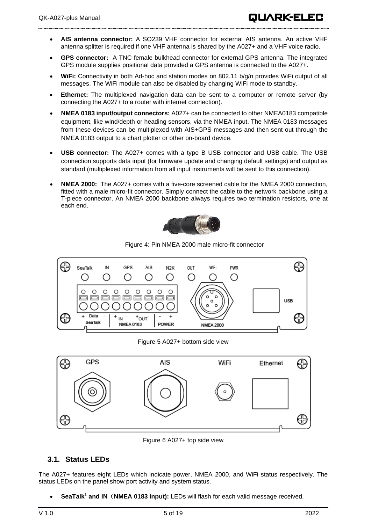- **AIS antenna connector:** A SO239 VHF connector for external AIS antenna. An active VHF antenna splitter is required if one VHF antenna is shared by the A027+ and a VHF voice radio.
- **GPS connector:** A TNC female bulkhead connector for external GPS antenna. The integrated GPS module supplies positional data provided a GPS antenna is connected to the A027+.
- **WiFi:** Connectivity in both Ad-hoc and station modes on 802.11 b/g/n provides WiFi output of all messages. The WiFi module can also be disabled by changing WiFi mode to standby.
- **Ethernet:** The multiplexed navigation data can be sent to a computer or remote server (by connecting the A027+ to a router with internet connection).
- **NMEA 0183 input/output connectors:** A027+ can be connected to other NMEA0183 compatible equipment, like wind/depth or heading sensors, via the NMEA input. The NMEA 0183 messages from these devices can be multiplexed with AIS+GPS messages and then sent out through the NMEA 0183 output to a chart plotter or other on-board device.
- **USB connector:** The A027+ comes with a type B USB connector and USB cable. The USB connection supports data input (for firmware update and changing default settings) and output as standard (multiplexed information from all input instruments will be sent to this connection).
- **NMEA 2000:** The A027+ comes with a five-core screened cable for the NMEA 2000 connection, fitted with a male micro-fit connector. Simply connect the cable to the network backbone using a T-piece connector. An NMEA 2000 backbone always requires two termination resistors, one at each end.



Figure 4: Pin NMEA 2000 male micro-fit connector



Figure 5 A027+ bottom side view



Figure 6 A027+ top side view

## <span id="page-4-0"></span>**3.1. Status LEDs**

The A027+ features eight LEDs which indicate power, NMEA 2000, and WiFi status respectively. The status LEDs on the panel show port activity and system status.

• **SeaTalk<sup>1</sup> and IN**(**NMEA 0183 input):** LEDs will flash for each valid message received.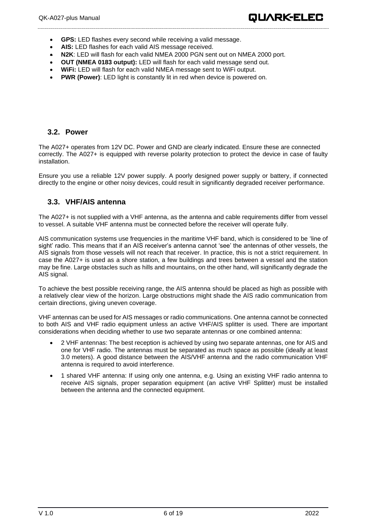- **GPS:** LED flashes every second while receiving a valid message.
- **AIS:** LED flashes for each valid AIS message received.
- **N2K**: LED will flash for each valid NMEA 2000 PGN sent out on NMEA 2000 port.
- **OUT (NMEA 0183 output):** LED will flash for each valid message send out.
- **WiFi:** LED will flash for each valid NMEA message sent to WiFi output.
- **PWR (Power):** LED light is constantly lit in red when device is powered on.

### <span id="page-5-0"></span>**3.2. Power**

The A027+ operates from 12V DC. Power and GND are clearly indicated. Ensure these are connected correctly. The A027+ is equipped with reverse polarity protection to protect the device in case of faulty installation.

<span id="page-5-1"></span>Ensure you use a reliable 12V power supply. A poorly designed power supply or battery, if connected directly to the engine or other noisy devices, could result in significantly degraded receiver performance.

### **3.3. VHF/AIS antenna**

The A027+ is not supplied with a VHF antenna, as the antenna and cable requirements differ from vessel to vessel. A suitable VHF antenna must be connected before the receiver will operate fully.

AIS communication systems use frequencies in the maritime VHF band, which is considered to be 'line of sight' radio. This means that if an AIS receiver's antenna cannot 'see' the antennas of other vessels, the AIS signals from those vessels will not reach that receiver. In practice, this is not a strict requirement. In case the A027+ is used as a shore station, a few buildings and trees between a vessel and the station may be fine. Large obstacles such as hills and mountains, on the other hand, will significantly degrade the AIS signal.

To achieve the best possible receiving range, the AIS antenna should be placed as high as possible with a relatively clear view of the horizon. Large obstructions might shade the AIS radio communication from certain directions, giving uneven coverage.

VHF antennas can be used for AIS messages or radio communications. One antenna cannot be connected to both AIS and VHF radio equipment unless an active VHF/AIS splitter is used. There are important considerations when deciding whether to use two separate antennas or one combined antenna:

- 2 VHF antennas: The best reception is achieved by using two separate antennas, one for AIS and one for VHF radio. The antennas must be separated as much space as possible (ideally at least 3.0 meters). A good distance between the AIS/VHF antenna and the radio communication VHF antenna is required to avoid interference.
- 1 shared VHF antenna: If using only one antenna, e.g. Using an existing VHF radio antenna to receive AIS signals, proper separation equipment (an active VHF Splitter) must be installed between the antenna and the connected equipment.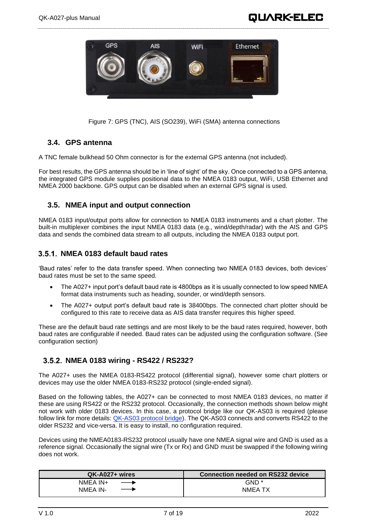

Figure 7: GPS (TNC), AIS (SO239), WiFi (SMA) antenna connections

### <span id="page-6-0"></span>**3.4. GPS antenna**

A TNC female bulkhead 50 Ohm connector is for the external GPS antenna (not included).

For best results, the GPS antenna should be in 'line of sight' of the sky. Once connected to a GPS antenna, the integrated GPS module supplies positional data to the NMEA 0183 output, WiFi, USB Ethernet and NMEA 2000 backbone. GPS output can be disabled when an external GPS signal is used.

### <span id="page-6-1"></span>**3.5. NMEA input and output connection**

NMEA 0183 input/output ports allow for connection to NMEA 0183 instruments and a chart plotter. The built-in multiplexer combines the input NMEA 0183 data (e.g., wind/depth/radar) with the AIS and GPS data and sends the combined data stream to all outputs, including the NMEA 0183 output port.

### <span id="page-6-2"></span>**NMEA 0183 default baud rates**

'Baud rates' refer to the data transfer speed. When connecting two NMEA 0183 devices, both devices' baud rates must be set to the same speed.

- The A027+ input port's default baud rate is 4800bps as it is usually connected to low speed NMEA format data instruments such as heading, sounder, or wind/depth sensors.
- The A027+ output port's default baud rate is 38400bps. The connected chart plotter should be configured to this rate to receive data as AIS data transfer requires this higher speed.

These are the default baud rate settings and are most likely to be the baud rates required, however, both baud rates are configurable if needed. Baud rates can be adjusted using the configuration software. (See configuration section)

### <span id="page-6-3"></span>**NMEA 0183 wiring - RS422 / RS232?**

The A027+ uses the NMEA 0183-RS422 protocol (differential signal), however some chart plotters or devices may use the older NMEA 0183-RS232 protocol (single-ended signal).

Based on the following tables, the A027+ can be connected to most NMEA 0183 devices, no matter if these are using RS422 or the RS232 protocol. Occasionally, the connection methods shown below might not work with older 0183 devices. In this case, a protocol bridge like our QK-AS03 is required (please follow link for more details: [QK-AS03 protocol bridge\)](https://www.quark-elec.com/product/qk-as03-nmea-protocol-bridge/). The QK-AS03 connects and converts RS422 to the older RS232 and vice-versa. It is easy to install, no configuration required.

Devices using the NMEA0183-RS232 protocol usually have one NMEA signal wire and GND is used as a reference signal. Occasionally the signal wire (Tx or Rx) and GND must be swapped if the following wiring does not work.

| QK-A027+ wires            | Connection needed on RS232 device |
|---------------------------|-----------------------------------|
| NMEA IN+<br>$\rightarrow$ | GND <sup>*</sup>                  |
| NMEA IN-<br>$\rightarrow$ | NMEA TX                           |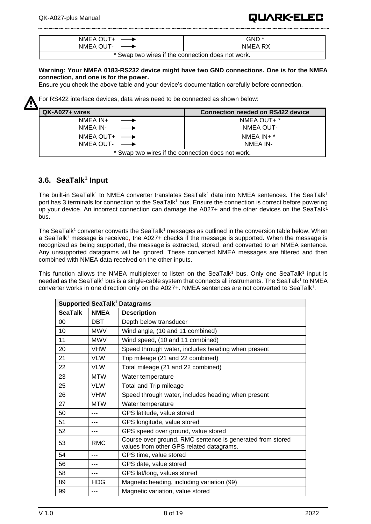| NMEA OUT+ $\longrightarrow$                       | GND *   |  |
|---------------------------------------------------|---------|--|
| NMEA OUT- $\longrightarrow$                       | NMEA RX |  |
| * Swap two wires if the connection does not work. |         |  |

**Warning: Your NMEA 0183-RS232 device might have two GND connections. One is for the NMEA connection, and one is for the power.**

Ensure you check the above table and your device's documentation carefully before connection.



For RS422 interface devices, data wires need to be connected as shown below:

| QK-A027+ wires                                    | <b>Connection needed on RS422 device</b> |
|---------------------------------------------------|------------------------------------------|
| NMEA IN+<br>$\longrightarrow$                     | NMEA OUT+ *                              |
| NMEA IN-                                          | NMEA OUT-                                |
| NMEA OUT+ $\longrightarrow$                       | NMEA $IN + *$                            |
| NMEA OUT- $\longrightarrow$                       | NMEA IN-                                 |
| * Swap two wires if the connection does not work. |                                          |

## <span id="page-7-0"></span>**3.6. SeaTalk<sup>1</sup> Input**

The built-in SeaTalk<sup>1</sup> to NMEA converter translates SeaTalk<sup>1</sup> data into NMEA sentences. The SeaTalk<sup>1</sup> port has 3 terminals for connection to the SeaTalk<sup>1</sup> bus. Ensure the connection is correct before powering up your device. An incorrect connection can damage the A027+ and the other devices on the SeaTalk<sup>1</sup> bus.

The SeaTalk<sup>1</sup> converter converts the SeaTalk<sup>1</sup> messages as outlined in the conversion table below. When a SeaTalk<sup>1</sup> message is received, the A027+ checks if the message is supported. When the message is recognized as being supported, the message is extracted, stored, and converted to an NMEA sentence. Any unsupported datagrams will be ignored. These converted NMEA messages are filtered and then combined with NMEA data received on the other inputs.

This function allows the NMEA multiplexer to listen on the SeaTalk<sup>1</sup> bus. Only one SeaTalk<sup>1</sup> input is needed as the SeaTalk<sup>1</sup> bus is a single-cable system that connects all instruments. The SeaTalk<sup>1</sup> to NMEA converter works in one direction only on the A027+. NMEA sentences are not converted to SeaTalk<sup>1</sup>.

| <b>Supported SeaTalk<sup>1</sup> Datagrams</b> |             |                                                                                                       |
|------------------------------------------------|-------------|-------------------------------------------------------------------------------------------------------|
| <b>SeaTalk</b>                                 | <b>NMEA</b> | <b>Description</b>                                                                                    |
| 00                                             | DBT         | Depth below transducer                                                                                |
| 10                                             | <b>MWV</b>  | Wind angle, (10 and 11 combined)                                                                      |
| 11                                             | <b>MWV</b>  | Wind speed, (10 and 11 combined)                                                                      |
| 20                                             | <b>VHW</b>  | Speed through water, includes heading when present                                                    |
| 21                                             | <b>VLW</b>  | Trip mileage (21 and 22 combined)                                                                     |
| 22                                             | <b>VLW</b>  | Total mileage (21 and 22 combined)                                                                    |
| 23                                             | <b>MTW</b>  | Water temperature                                                                                     |
| 25                                             | <b>VLW</b>  | Total and Trip mileage                                                                                |
| 26                                             | <b>VHW</b>  | Speed through water, includes heading when present                                                    |
| 27                                             | <b>MTW</b>  | Water temperature                                                                                     |
| 50                                             |             | GPS latitude, value stored                                                                            |
| 51                                             |             | GPS longitude, value stored                                                                           |
| 52                                             | ---         | GPS speed over ground, value stored                                                                   |
| 53                                             | <b>RMC</b>  | Course over ground. RMC sentence is generated from stored<br>values from other GPS related datagrams. |
| 54                                             |             | GPS time, value stored                                                                                |
| 56                                             |             | GPS date, value stored                                                                                |
| 58                                             | ---         | GPS lat/long, values stored                                                                           |
| 89                                             | <b>HDG</b>  | Magnetic heading, including variation (99)                                                            |
| 99                                             |             | Magnetic variation, value stored                                                                      |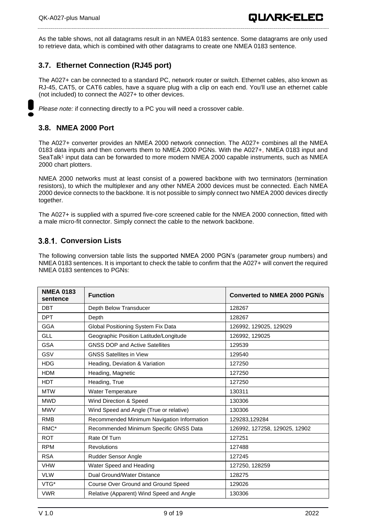As the table shows, not all datagrams result in an NMEA 0183 sentence. Some datagrams are only used to retrieve data, which is combined with other datagrams to create one NMEA 0183 sentence.

## <span id="page-8-0"></span>**3.7. Ethernet Connection (RJ45 port)**

The A027+ can be connected to a standard PC, network router or switch. Ethernet cables, also known as RJ-45, CAT5, or CAT6 cables, have a square plug with a clip on each end. You'll use an ethernet cable (not included) to connect the A027+ to other devices.

<span id="page-8-1"></span>*Please note:* if connecting directly to a PC you will need a crossover cable.

### **3.8. NMEA 2000 Port**

The A027+ converter provides an NMEA 2000 network connection. The A027+ combines all the NMEA 0183 data inputs and then converts them to NMEA 2000 PGNs. With the A027+, NMEA 0183 input and SeaTalk<sup>1</sup> input data can be forwarded to more modern NMEA 2000 capable instruments, such as NMEA 2000 chart plotters.

NMEA 2000 networks must at least consist of a powered backbone with two terminators (termination resistors), to which the multiplexer and any other NMEA 2000 devices must be connected. Each NMEA 2000 device connects to the backbone. It is not possible to simply connect two NMEA 2000 devices directly together.

The A027+ is supplied with a spurred five-core screened cable for the NMEA 2000 connection, fitted with a male micro-fit connector. Simply connect the cable to the network backbone.

### <span id="page-8-2"></span>**Conversion Lists**

The following conversion table lists the supported NMEA 2000 PGN's (parameter group numbers) and NMEA 0183 sentences. It is important to check the table to confirm that the A027+ will convert the required NMEA 0183 sentences to PGNs:

| <b>NMEA 0183</b><br>sentence | <b>Function</b>                            | <b>Converted to NMEA 2000 PGN/s</b> |
|------------------------------|--------------------------------------------|-------------------------------------|
| <b>DBT</b>                   | Depth Below Transducer                     | 128267                              |
| <b>DPT</b>                   | Depth                                      | 128267                              |
| <b>GGA</b>                   | Global Positioning System Fix Data         | 126992, 129025, 129029              |
| <b>GLL</b>                   | Geographic Position Latitude/Longitude     | 126992, 129025                      |
| <b>GSA</b>                   | <b>GNSS DOP and Active Satellites</b>      | 129539                              |
| GSV                          | <b>GNSS Satellites in View</b>             | 129540                              |
| <b>HDG</b>                   | Heading, Deviation & Variation             | 127250                              |
| <b>HDM</b>                   | Heading, Magnetic                          | 127250                              |
| <b>HDT</b>                   | Heading, True                              | 127250                              |
| <b>MTW</b>                   | <b>Water Temperature</b>                   | 130311                              |
| <b>MWD</b>                   | Wind Direction & Speed                     | 130306                              |
| <b>MWV</b>                   | Wind Speed and Angle (True or relative)    | 130306                              |
| <b>RMB</b>                   | Recommended Minimum Navigation Information | 129283,129284                       |
| RMC*                         | Recommended Minimum Specific GNSS Data     | 126992, 127258, 129025, 12902       |
| <b>ROT</b>                   | Rate Of Turn                               | 127251                              |
| <b>RPM</b>                   | <b>Revolutions</b>                         | 127488                              |
| <b>RSA</b>                   | Rudder Sensor Angle                        | 127245                              |
| <b>VHW</b>                   | Water Speed and Heading                    | 127250, 128259                      |
| <b>VLW</b>                   | Dual Ground/Water Distance                 | 128275                              |
| VTG*                         | Course Over Ground and Ground Speed        | 129026                              |
| <b>VWR</b>                   | Relative (Apparent) Wind Speed and Angle   | 130306                              |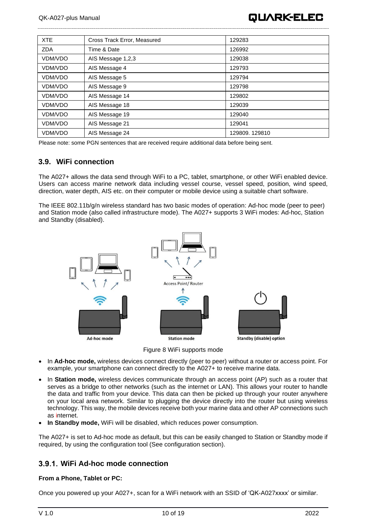

| <b>XTE</b> | Cross Track Error, Measured | 129283        |
|------------|-----------------------------|---------------|
| <b>ZDA</b> | Time & Date                 | 126992        |
| VDM/VDO    | AIS Message 1,2,3           | 129038        |
| VDM/VDO    | AIS Message 4               | 129793        |
| VDM/VDO    | AIS Message 5               | 129794        |
| VDM/VDO    | AIS Message 9               | 129798        |
| VDM/VDO    | AIS Message 14              | 129802        |
| VDM/VDO    | AIS Message 18              | 129039        |
| VDM/VDO    | AIS Message 19              | 129040        |
| VDM/VDO    | AIS Message 21              | 129041        |
| VDM/VDO    | AIS Message 24              | 129809.129810 |

Please note: some PGN sentences that are received require additional data before being sent.

### <span id="page-9-0"></span>**3.9. WiFi connection**

The A027+ allows the data send through WiFi to a PC, tablet, smartphone, or other WiFi enabled device. Users can access marine network data including vessel course, vessel speed, position, wind speed, direction, water depth, AIS etc. on their computer or mobile device using a suitable chart software.

The IEEE 802.11b/g/n wireless standard has two basic modes of operation: Ad-hoc mode (peer to peer) and Station mode (also called infrastructure mode). The A027+ supports 3 WiFi modes: Ad-hoc, Station and Standby (disabled).



Figure 8 WiFi supports mode

- In **Ad-hoc mode,** wireless devices connect directly (peer to peer) without a router or access point. For example, your smartphone can connect directly to the A027+ to receive marine data.
- In **Station mode,** wireless devices communicate through an access point (AP) such as a router that serves as a bridge to other networks (such as the internet or LAN). This allows your router to handle the data and traffic from your device. This data can then be picked up through your router anywhere on your local area network. Similar to plugging the device directly into the router but using wireless technology. This way, the mobile devices receive both your marine data and other AP connections such as internet.
- **In Standby mode,** WiFi will be disabled, which reduces power consumption.

The A027+ is set to Ad-hoc mode as default, but this can be easily changed to Station or Standby mode if required, by using the configuration tool (See configuration section).

### <span id="page-9-1"></span>**WiFi Ad-hoc mode connection**

### **From a Phone, Tablet or PC:**

Once you powered up your A027+, scan for a WiFi network with an SSID of 'QK-A027xxxx' or similar.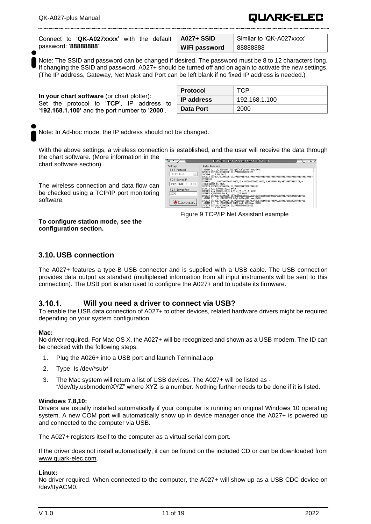Connect to '**QK-A027xxxx**' with the default password: '**88888888**'.

| ∣ A027+ SSID  | Similar to 'QK-A027xxxx' |
|---------------|--------------------------|
| WiFi password | 88888888                 |

QUARK-ELEC

Note: The SSID and password can be changed if desired. The password must be 8 to 12 characters long. If changing the SSID and password, A027+ should be turned off and on again to activate the new settings. (The IP address, Gateway, Net Mask and Port can be left blank if no fixed IP address is needed.)

**In your chart software** (or chart plotter): Set the protocol to '**TCP**', IP address to '**192.168.1.100'** and the port number to '**2000**'.

| <b>Protocol</b>    | τ∩Ρ           |
|--------------------|---------------|
| $\vert$ IP address | 192.168.1.100 |
| Data Port          | 2000          |

Note: In Ad-hoc mode, the IP address should not be changed.

With the above settings, a wireless connection is established, and the user will receive the data through the chart software. (More information in the

chart software section)

The wireless connection and data flow can be checked using a TCP/IP port monitoring software.

| Ξ.                                | TCP/IP Net Assistant (V3.8)<br>$ \Box$ $\times$                                                                                                                                                                            |
|-----------------------------------|----------------------------------------------------------------------------------------------------------------------------------------------------------------------------------------------------------------------------|
| Settings                          | Data Receive                                                                                                                                                                                                               |
| $(1)$ Protocol                    | AIVDM. 1.1A.B69cRe?t<22>gN3>10 g7weV1www.0*4C                                                                                                                                                                              |
| $\mathbf{v}$<br><b>TCP Client</b> | SPCDIN, 01F11A, 00000000, 01, FFF005460000*26<br>\$HCHDG, 0.00, W*25                                                                                                                                                       |
| (2) Server IP                     | FFF7F*2C                                                                                                                                                                                                                   |
| 192.168.1.100                     | 1943844492.44. V*25<br>SPCDIN, 01F903, 00000000, 01, FFFFFFFFFFFFFFFFFFF-SD                                                                                                                                                |
| (3) Server Port                   | SGPXTE, A. A. 539956, 80, R. N*4D<br>SGPAPB, A, A, 539956. 80, R, N, V, V, , T, , , T, , T, A*42                                                                                                                           |
| 2000                              | SPCDIN. 01F80E. 00000000.85.01D0EEC9210AADCD43B764610D818975EF02FFFFFFF275D40EF0FF*25<br>AIVDM. 1.1. A. 18LWf10H2B 8fg> <n62ng5k01www.0*06< td=""></n62ng5k01www.0*06<>                                                    |
| Disconnect                        | SPCDIN, 01F80E, 00000000, 85, 01SED59518B0D9C843CF186D0D7BFFFF0000FFFFFFFB6820000F4FF*55<br>  AIVDM, 1, 1, , A, 169GEGT000 8UNG (p glov460t3www, 0*18<br>SPCDIN, 01F11A, 00000000, 01, FFF005460000*26<br><b>Lassassen</b> |

Figure 9 TCP/IP Net Assistant example

**To configure station mode, see the [configuration section.](#page-12-0)**

### <span id="page-10-0"></span>**3.10. USB connection**

The A027+ features a type-B USB connector and is supplied with a USB cable. The USB connection provides data output as standard (multiplexed information from all input instruments will be sent to this connection). The USB port is also used to configure the A027+ and to update its firmware.

#### <span id="page-10-1"></span> $3.10.1.$ **Will you need a driver to connect via USB?**

To enable the USB data connection of A027+ to other devices, related hardware drivers might be required depending on your system configuration.

### **Mac:**

No driver required. For Mac OS X, the A027+ will be recognized and shown as a USB modem. The ID can be checked with the following steps:

- 1. Plug the A026+ into a USB port and launch Terminal.app.
- 2. Type: Is /dev/\*sub\*
- 3. The Mac system will return a list of USB devices. The A027+ will be listed as "/dev/tty.usbmodemXYZ" where XYZ is a number. Nothing further needs to be done if it is listed.

### **Windows 7,8,10:**

Drivers are usually installed automatically if your computer is running an original Windows 10 operating system. A new COM port will automatically show up in device manager once the A027+ is powered up and connected to the computer via USB.

The A027+ registers itself to the computer as a virtual serial com port.

If the driver does not install automatically, it can be found on the included CD or can be downloaded from [www.quark-elec.com.](http://www.quark-elec.com/)

#### **Linux:**

No driver required. When connected to the computer, the A027+ will show up as a USB CDC device on /dev/ttyACM0.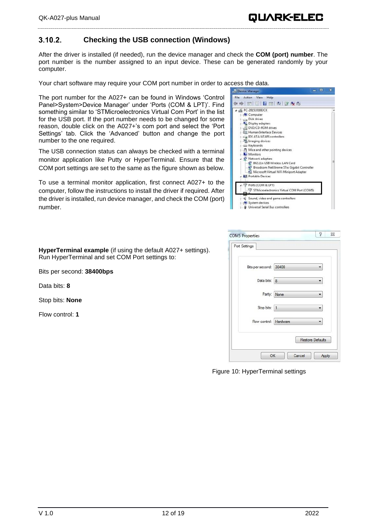#### <span id="page-11-0"></span> $3.10.2.$ **Checking the USB connection (Windows)**

After the driver is installed (if needed), run the device manager and check the **COM (port) number**. The port number is the number assigned to an input device. These can be generated randomly by your computer.

Your chart software may require your COM port number in order to access the data.

The port number for the A027+ can be found in Windows 'Control Panel>System>Device Manager' under 'Ports (COM & LPT)'. Find something similar to 'STMicroelectronics Virtual Com Port' in the list for the USB port. If the port number needs to be changed for some reason, double click on the A027+'s com port and select the 'Port Settings' tab. Click the 'Advanced' button and change the port number to the one required.

The USB connection status can always be checked with a terminal monitor application like Putty or HyperTerminal. Ensure that the COM port settings are set to the same as the figure shown as below.

To use a terminal monitor application, first connect A027+ to the computer, follow the instructions to install the driver if required. After the driver is installed, run device manager, and check the COM (port) number.

| Device Manager                                                                                                                                                                                                                                                                                                                                                                                                                                                              | ▭<br>x |
|-----------------------------------------------------------------------------------------------------------------------------------------------------------------------------------------------------------------------------------------------------------------------------------------------------------------------------------------------------------------------------------------------------------------------------------------------------------------------------|--------|
| Action View<br>Help<br>File                                                                                                                                                                                                                                                                                                                                                                                                                                                 |        |
| 西国子西坡普及海                                                                                                                                                                                                                                                                                                                                                                                                                                                                    |        |
| PC-20151018EJCK<br>Computer<br><b>Disk drives</b><br>Display adapters<br><b>DVD/CD-ROM drives</b><br>b Vin Human Interface Devices<br><b>D Call IDE ATA/ATAPI controllers</b><br><b>Analytical Imaging devices</b><br>Expoords<br>$\triangleright$ Mice and other pointing devices<br>Monitors<br>Network adapters<br>802.11n USB Wireless LAN Card<br>Broadcom NetXtreme 57xx Gigabit Controller<br>Microsoft Virtual WiFi Miniport Adapter<br><b>ATA</b> Portable Devices |        |
| Ports (COM & LPT)<br>STMicroelectronics Virtual COM Port (COM5)                                                                                                                                                                                                                                                                                                                                                                                                             |        |
| Sound, video and game controllers<br>System devices<br>Universal Serial Bus controllers                                                                                                                                                                                                                                                                                                                                                                                     |        |

| <b>COM5 Properties</b> |        | P<br>$\Sigma$           |
|------------------------|--------|-------------------------|
| Port Settings          |        |                         |
| Bits per second: 38400 |        |                         |
| Data bits: 8           |        |                         |
| Parity:                | None   |                         |
| Stop bits:             | 1      |                         |
| Flow control: Hardware |        |                         |
|                        |        | <b>Restore Defaults</b> |
| OK                     | Cancel | Apply                   |

Figure 10: HyperTerminal settings

**HyperTerminal example** (if using the default A027+ settings). Run HyperTerminal and set COM Port settings to:

Bits per second: **38400bps**

Data bits: **8**

Stop bits: **None**

Flow control: **1**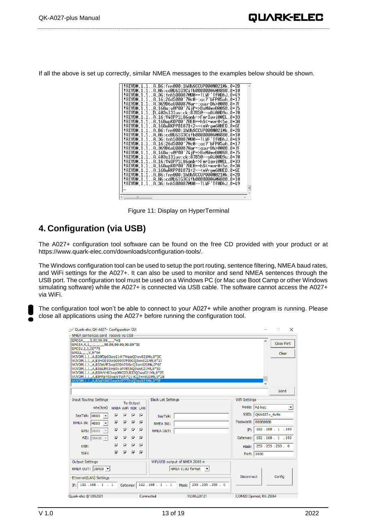If all the above is set up correctly, similar NMEA messages to the examples below should be shown.

| !AIVDM.1.1A.B6:fnn@00:1hUhSCCUP000N021Mk.0*2D                                      |   |
|------------------------------------------------------------------------------------|---|
| !AIVDM.1.1A.H6:cd@U61G3Cifh00000006@A880.0*10                                      |   |
| !AIVDM.1.1A.36:tnh500087@U0==TLWF'Tf0DhJ.0*49                                      |   |
| :AIVDM.1.1A.16:26d5000'7Wc0=:gc7'bFP05ah.0*17                                      |   |
| !AIVDM.1.1A.369D6aU00087War=:guu=Dh>0000.0*7F                                      |   |
| !AIVDM.1.1A.168u:v@P00'74iP=>BoMWwvB00S8.0*75!                                     |   |
| !AIVDM.1.1R.403sl31uv:ck:87B5@==oAi00D9u.0*70                                      |   |
| !AIVDM.1.1A.16:V40PP1L86gnb=>FmrIgvj0@IL.0*33                                      |   |
| !AIVDM.1.1A.168upK0P00'7BEH==hS<=wvr0<5e.0*3A                                      |   |
| !AIVDM.1.1A.168uRKPP01871<2== <mvrgw60hed.0*6e< th=""><th></th></mvrgw60hed.0*6e<> |   |
|                                                                                    |   |
| !AIVDM,1,1,,A,B6:fnn@00:1hUhSCCUP000N021Mk.0*2D                                    |   |
| !AIVDM.1.1A.H6:cd@U61G3Cifh00000006@A880.0*10                                      |   |
| !AIVDM.1.1A.36:tnh500087@U0==TLWF'Tf0DhJ.0*49                                      |   |
| :AIVDM.1.1A.16:26d5000'7Wc0=:gc7'bFP05ah.0*17                                      |   |
| !AIVDM.1.1A.369D6aU00087War=:quu=Dh>0000.0*7F                                      |   |
| !AIVDM.1.1A.168u:v@P00'74jP=>BoMWwvB00S8.0*75                                      |   |
| !AIVDM.1.1A.403sl31uv:ck:87B5@==oAi00D9u.0*70                                      |   |
| !AIVDM.1.1A.16:V40PP1L86gnb=>FmrIgvj0@IL.0*33                                      |   |
| !AIVDM.1.1A.168upK0P00'7BEH==hS<=wvr0<5e.0*3A                                      |   |
| !AIVDM.1.1A.168uRKPP01871<2== <mvrgw60hed.0*6e< td=""><td></td></mvrgw60hed.0*6e<> |   |
| !AIVDM.1.1A.B6:fnn@00:1hUhSCCUP000N021Mk.0*2D                                      |   |
| !AIVDM.1.1A.H6:cd@U61G3Cifh00000006@A880.0*10                                      |   |
| !AIVDM.1.1A.36:tnh500087@U0==TLWF'Tf0DhJ.0*49                                      |   |
|                                                                                    | E |
|                                                                                    |   |
| ш                                                                                  |   |
|                                                                                    |   |

Figure 11: Display on HyperTerminal

## <span id="page-12-0"></span>**4. Configuration (via USB)**

The A027+ configuration tool software can be found on the free CD provided with your product or at [https://www.quark-elec.com/downloads/configuration-tools/.](https://www.quark-elec.com/downloads/configuration-tools/)

The Windows configuration tool can be used to setup the port routing, sentence filtering, NMEA baud rates, and WiFi settings for the A027+. It can also be used to monitor and send NMEA sentences through the USB port. The configuration tool must be used on a Windows PC (or Mac use Boot Camp or other Windows simulating software) while the A027+ is connected via USB cable. The software cannot access the A027+ via WiFi.

The configuration tool won't be able to connect to your A027+ while another program is running. Please close all applications using the A027+ before running the configuration tool.

| Quark-elec QK-A027+ Configuration GUI                                                                                                                                                                                                                                                                                                                                                                                                                                                                   |                                                                                                                                                                                                                                                                                                                                                   |                                                                   |                                                                                                            |                                                                      |                                                | п<br>$\times$                                        |
|---------------------------------------------------------------------------------------------------------------------------------------------------------------------------------------------------------------------------------------------------------------------------------------------------------------------------------------------------------------------------------------------------------------------------------------------------------------------------------------------------------|---------------------------------------------------------------------------------------------------------------------------------------------------------------------------------------------------------------------------------------------------------------------------------------------------------------------------------------------------|-------------------------------------------------------------------|------------------------------------------------------------------------------------------------------------|----------------------------------------------------------------------|------------------------------------------------|------------------------------------------------------|
| NMEA sentences send receive via USB                                                                                                                                                                                                                                                                                                                                                                                                                                                                     |                                                                                                                                                                                                                                                                                                                                                   |                                                                   |                                                                                                            |                                                                      |                                                |                                                      |
| GPGGA,,,,,,0,00,99.99,,,,,,,*48<br>GPGSA, A, 1, , , , , , , , , , , 99.99, 99.99, 99.99*30<br>GPGSV, 1, 1, 00*79<br>GPGLL,,,,,,V,N*64<br>!AIVDM,1,1,,A,B39f0q03wp11rh7MqssQ3wv021Mk,0*3C<br>!AIVDM,1,1,,A,B3HOI:03wp00007P0bCQ3wv021Mk,0*27<br>!AIVDM.1.1A.B33sVfP3wp07Dh7StbcQ3wv021Mk,0*0F<br>!AIVDM,1,1,,A,B3eaJF03wp0>aP7Rt;kQ3wv021Mk,0*53<br>!AIVDM.1.1A.B5MrVH03wp0MC07LR33O3wv021Mk.0*25<br>!!AIVDM,1,1,,A,B5Mtp?03wp0TWh7Q1:KQ3wv021Mk,0*28<br>!AIVDM,1,1,,A,B3aEOK03wp0ctP7TItsQ3wv021Mk,0*5F |                                                                                                                                                                                                                                                                                                                                                   |                                                                   |                                                                                                            |                                                                      | A                                              | <b>Close Port</b><br>Clear                           |
|                                                                                                                                                                                                                                                                                                                                                                                                                                                                                                         |                                                                                                                                                                                                                                                                                                                                                   |                                                                   |                                                                                                            |                                                                      |                                                | Send                                                 |
| Input Routing Settings<br>rate(bps)<br>⊽<br>SeaTalk:<br>4800<br>$\overline{\phantom{a}}$<br>⊽<br>NMEA IN:<br>4800<br>$\overline{\phantom{a}}$<br>⊽<br>GPS:<br>9600<br>⊽<br>AIS:<br>$38400$ -<br>⊽<br>USB:<br>$\overline{\mathbf{v}}$<br>WiFi:                                                                                                                                                                                                                                                           | To Output<br>NMEA WiFi N2K LAN<br>⊽<br>⊽<br>⊽<br>$\overline{\mathbf{v}}$<br>⊺ ⊽<br>$\overline{\mathbf{v}}$<br>$\overline{\mathbf{v}}$<br>⊽<br>$\overline{\mathbf{v}}$<br>⊽<br>⊽<br>$\overline{\mathbf{v}}$<br>$\overline{\mathbf{v}}$<br>$\overline{\mathbf{v}}$<br>$\overline{\mathbf{v}}$<br>$\overline{\mathbf{v}}$<br>$\overline{\mathbf{v}}$ | <b>Black List Settings-</b><br>SeaTalk:<br>NMEA IN1:<br>NMEA OUT: |                                                                                                            | WiFi Settings<br>Password:<br>TP:<br>Gateway:<br>Mask:<br>Port: 2000 | Mode: Ad-hoc<br>SSID: OKA027+ 4u9x<br>88888888 | ۰<br>192.168.1.100<br>192.168.1.100<br>255.255.255.0 |
| Output Settings-<br>NMEA OUT: 38400 -<br>Ethernet(LAN) Settings<br>192.168.1.1<br>IP:                                                                                                                                                                                                                                                                                                                                                                                                                   | Gateway: 192 . 168 . 1 . 1                                                                                                                                                                                                                                                                                                                        |                                                                   | WiFi/USB output of NMEA 2000 in-<br>NMEA 0183 format<br>$\overline{\phantom{a}}$<br>255.255.255.0<br>Mask: | <b>Disconnect</b>                                                    |                                                | Confia                                               |
| Quark-elec @12052021                                                                                                                                                                                                                                                                                                                                                                                                                                                                                    | Connected                                                                                                                                                                                                                                                                                                                                         |                                                                   | V2.00.220121                                                                                               | COM20 Opened, RX: 25064                                              |                                                |                                                      |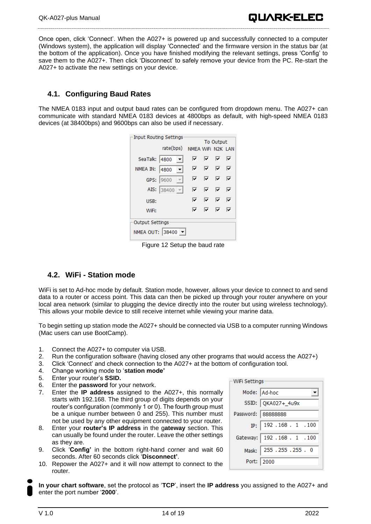## **4.1. Configuring Baud Rates**

<span id="page-13-0"></span>A027+ to activate the new settings on your device.

The NMEA 0183 input and output baud rates can be configured from dropdown menu. The A027+ can communicate with standard NMEA 0183 devices at 4800bps as default, with high-speed NMEA 0183 devices (at 38400bps) and 9600bps can also be used if necessary.

| Input Routing Settings |                       |  |                   |           |    |   |  |
|------------------------|-----------------------|--|-------------------|-----------|----|---|--|
|                        |                       |  |                   | To Output |    |   |  |
|                        | rate(bps)             |  | NMEA WIFI N2K LAN |           |    |   |  |
| SeaTalk: 4800          |                       |  | ⊽.                | ⊽         | ⊽  | ⊽ |  |
| NMEA IN:               | 4800                  |  | ⊽                 | ⊽         | ⊽  | ⊽ |  |
|                        | GPS: 9600             |  | ⊽⊹                | ⊽         | V. | ⊽ |  |
|                        | AIS: 38400 $\sqrt{ }$ |  | ⊽                 | ⊽         | ⊽  | ⊽ |  |
| USB:                   |                       |  | ⊽                 | ⊽         | ⊽  | ⊽ |  |
| WiFi:                  |                       |  | ⊽                 | ⊽         | ⊽  | ⊽ |  |
| Output Settings        |                       |  |                   |           |    |   |  |
| NMEA OUT: 38400 -      |                       |  |                   |           |    |   |  |

Figure 12 Setup the baud rate

### <span id="page-13-1"></span>**4.2. WiFi - Station mode**

WiFi is set to Ad-hoc mode by default. Station mode, however, allows your device to connect to and send data to a router or access point. This data can then be picked up through your router anywhere on your local area network (similar to plugging the device directly into the router but using wireless technology). This allows your mobile device to still receive internet while viewing your marine data.

To begin setting up station mode the A027+ should be connected via USB to a computer running Windows (Mac users can use BootCamp).

- 1. Connect the A027+ to computer via USB.
- 2. Run the configuration software (having closed any other programs that would access the A027+)
- 3. Click 'Connect' and check connection to the A027+ at the bottom of configuration tool.
- 4. Change working mode to '**station mode'**
- 5. Enter your router's **SSID.**
- 6. Enter the **password** for your network.
- 7. Enter the **IP address** assigned to the A027+, this normally starts with 192.168. The third group of digits depends on your router's configuration (commonly 1 or 0). The fourth group must be a unique number between 0 and 255). This number must not be used by any other equipment connected to your router.
- 8. Enter your **router's IP address** in the g**ateway** section. This can usually be found under the router. Leave the other settings as they are.
- 9. Click '**Config'** in the bottom right-hand corner and wait 60 seconds. After 60 seconds click '**Disconnect'**.
- 10. Repower the A027+ and it will now attempt to connect to the router.

**In your chart software**, set the protocol as '**TCP**', insert the **IP address** you assigned to the A027+ and enter the port number '**2000**'.

|                    | WiFi Settings                |  |  |  |  |
|--------------------|------------------------------|--|--|--|--|
|                    | Mode: Ad-hoc                 |  |  |  |  |
|                    | SSID: QKA027+_4u9x           |  |  |  |  |
| Password: 88888888 |                              |  |  |  |  |
|                    | IP: $192.168.1.100$          |  |  |  |  |
|                    | Gateway: 192 . 168 . 1 . 100 |  |  |  |  |
|                    | Mask: 255 . 255 . 255 . 0    |  |  |  |  |
| Port:   2000       |                              |  |  |  |  |

QUARK-ELEC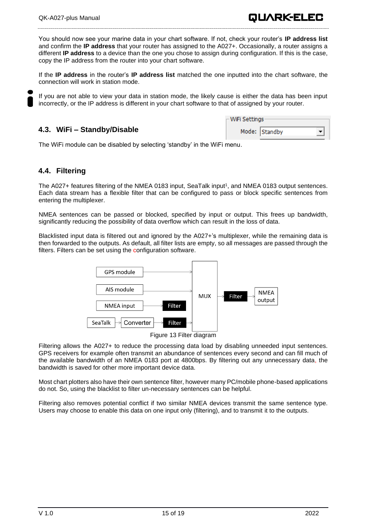If the **IP address** in the router's **IP address list** matched the one inputted into the chart software, the connection will work in station mode.

If you are not able to view your data in station mode, the likely cause is either the data has been input incorrectly, or the IP address is different in your chart software to that of assigned by your router.

### <span id="page-14-0"></span>**4.3. WiFi – Standby/Disable**

| -WiFi Settings |               |  |  |  |  |
|----------------|---------------|--|--|--|--|
|                | Mode: Standby |  |  |  |  |

QUARK-ELEC

The WiFi module can be disabled by selecting 'standby' in the WiFi menu.

### <span id="page-14-1"></span>**4.4. Filtering**

The A027+ features filtering of the NMEA 0183 input, SeaTalk input<sup>1</sup>, and NMEA 0183 output sentences. Each data stream has a flexible filter that can be configured to pass or block specific sentences from entering the multiplexer.

NMEA sentences can be passed or blocked, specified by input or output. This frees up bandwidth, significantly reducing the possibility of data overflow which can result in the loss of data.

Blacklisted input data is filtered out and ignored by the A027+'s multiplexer, while the remaining data is then forwarded to the outputs. As default, all filter lists are empty, so all messages are passed through the filters. Filters can be set using the configuration software.



Figure 13 Filter diagram

Filtering allows the A027+ to reduce the processing data load by disabling unneeded input sentences. GPS receivers for example often transmit an abundance of sentences every second and can fill much of the available bandwidth of an NMEA 0183 port at 4800bps. By filtering out any unnecessary data, the bandwidth is saved for other more important device data.

Most chart plotters also have their own sentence filter, however many PC/mobile phone-based applications do not. So, using the blacklist to filter un-necessary sentences can be helpful.

Filtering also removes potential conflict if two similar NMEA devices transmit the same sentence type. Users may choose to enable this data on one input only (filtering), and to transmit it to the outputs.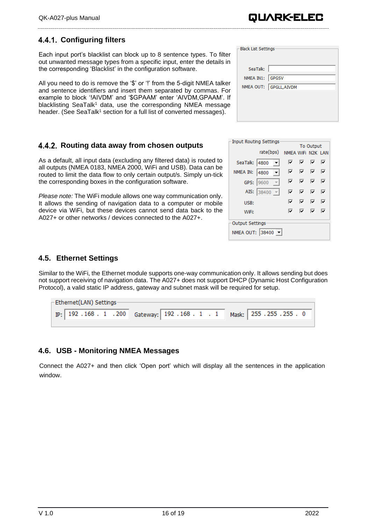## <span id="page-15-0"></span>**Configuring filters**

Each input port's blacklist can block up to 8 sentence types. To filter out unwanted message types from a specific input, enter the details in the corresponding 'Blacklist' in the configuration software.

All you need to do is remove the '\$' or '!' from the 5-digit NMEA talker and sentence identifiers and insert them separated by commas. For example to block '!AIVDM' and '\$GPAAM' enter 'AIVDM,GPAAM'. If blacklisting SeaTalk<sup>1</sup> data, use the corresponding NMEA message header. (See SeaTalk<sup>1</sup> section for a full list of converted messages).

## <span id="page-15-1"></span>**Routing data away from chosen outputs**

As a default, all input data (excluding any filtered data) is routed to all outputs (NMEA 0183, NMEA 2000, WiFi and USB). Data can be routed to limit the data flow to only certain output/s. Simply un-tick the corresponding boxes in the configuration software.

*Please note:* The WiFi module allows one way communication only. It allows the sending of navigation data to a computer or mobile device via WiFi, but these devices cannot send data back to the A027+ or other networks / devices connected to the A027+.

| Black List Settings |                        |
|---------------------|------------------------|
| SeaTalk:            |                        |
| NMEA IN1:           | <b>GPGSV</b>           |
|                     | NMEA OUT: GPGLL, AIVDM |
|                     |                        |
|                     |                        |
|                     |                        |

| Input Routing Settings |              |  |                   |   |                  |   |
|------------------------|--------------|--|-------------------|---|------------------|---|
|                        |              |  |                   |   | <b>To Output</b> |   |
|                        | rate(bps)    |  | NMEA WIFI N2K LAN |   |                  |   |
| SeaTalk: 4800          |              |  | ⊽                 | ⊽ | ⊽                | ⊽ |
| NMEA IN:               | 4800         |  | ⊽                 | ⊽ | − ⊽              | ⊽ |
|                        | GPS: 9600    |  | ☞                 |   | ⊽ ⊽              | ☞ |
|                        | AIS: 38400 - |  | ⊽                 | ⊽ | ⊽                | ⊽ |
| USB:                   |              |  | ⊽                 | ⊽ | ⊽                | ⊽ |
| WiFi:                  |              |  | ⊽                 | ☞ | ⊽                | ⊽ |
| Output Settings        |              |  |                   |   |                  |   |
| NMEA OUT: 38400 -      |              |  |                   |   |                  |   |

### <span id="page-15-2"></span>**4.5. Ethernet Settings**

Similar to the WiFi, the Ethernet module supports one-way communication only. It allows sending but does not support receiving of navigation data. The A027+ does not support DHCP (Dynamic Host Configuration Protocol), a valid static IP address, gateway and subnet mask will be required for setup.

| -Ethernet(LAN) Settings- |  |  |  |  |                                                              |
|--------------------------|--|--|--|--|--------------------------------------------------------------|
|                          |  |  |  |  | $pp:$ 192.168.1.200 Gateway: 192.168.1.1 Mask: 255.255.255.0 |
|                          |  |  |  |  |                                                              |

## <span id="page-15-3"></span>**4.6. USB - Monitoring NMEA Messages**

Connect the A027+ and then click 'Open port' which will display all the sentences in the application window.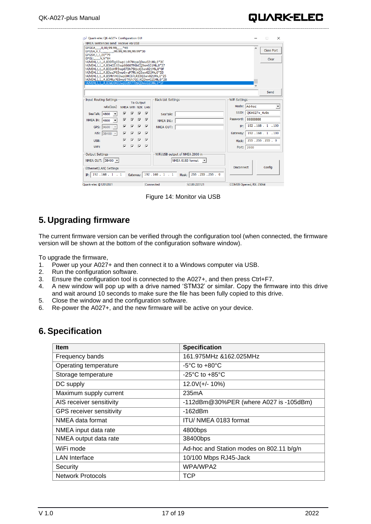| Quark-elec QK-A027+ Configuration GUI<br>NMEA sentences send receive via USB                                                                                                                                                                                                                                                                                                                                                                                                         |                                                                                                                                                                                                                     | <b>College</b><br>$\times$                                                                                                                                                     |
|--------------------------------------------------------------------------------------------------------------------------------------------------------------------------------------------------------------------------------------------------------------------------------------------------------------------------------------------------------------------------------------------------------------------------------------------------------------------------------------|---------------------------------------------------------------------------------------------------------------------------------------------------------------------------------------------------------------------|--------------------------------------------------------------------------------------------------------------------------------------------------------------------------------|
| GPGGA,,,,,,0,00,99.99,,,,,,,*48<br>GPGSA, A, 1,   , 99.99, 99.99, 99.99*30<br>GPGSV, 1, 1, 00*79<br>GPGLL,,,,,,V,N*64<br>!AIVDM.1.1A.B39f0q03wp11rh7MqssO3wv021Mk.0*3C<br>!AIVDM,1,1,,A,B3HOI:03wp00007P0bCQ3wv021Mk,0*27<br>!AIVDM,1,1,,A,B33sVfP3wp07Dh7StbcQ3wv021Mk,0*0F<br>!AIVDM.1.1A.B3eaJF03wp0>aP7Rt:kO3wv021Mk.0*53<br>!AIVDM,1,1,,A,B5MrVH03wp0MC07LR33Q3wv021Mk,0*25<br>!AIVDM,1,1,,A,B5Mtp?03wp0TWh7Q1:KQ3wv021Mk,0*28<br>!AIVDM.1.1A.B3aEOK03wp0ctP7TItsO3wv021Mk.0*5F |                                                                                                                                                                                                                     | Close Port<br>Clear                                                                                                                                                            |
|                                                                                                                                                                                                                                                                                                                                                                                                                                                                                      |                                                                                                                                                                                                                     | Send                                                                                                                                                                           |
| Input Routing Settings<br>rate(bps)<br>NMEA WIFI N2K LAN<br>⊽<br>⊽<br>SeaTalk: 4800<br>⊽<br>▽<br>NMEA IN: $ 4800 \rightarrow$<br>⊽<br>⊽<br>GPS: 9600<br>⊽<br>AIS: $ 38400 -$<br>▽<br>$\overline{\mathbf{v}}$<br>▽<br>USB:<br>⊽ ⊽<br>WiFi:                                                                                                                                                                                                                                            | <b>Black List Settings-</b><br>To Output<br>⊽<br>$\overline{\mathbf{v}}$<br>SeaTalk:<br>ঢ়৾৾ঢ়<br>NMEA IN1:<br>⊽<br>⊽<br><b>NMEA OUT:</b><br>⊽<br>⊽<br>⊽<br>$\overline{\mathbf{v}}$<br>⊽<br>$\overline{\mathbf{v}}$ | WiFi Settings-<br>Mode: Ad-hoc<br>SSID: OKA027+ 4u9x<br>Password: 88888888<br>$IP:$ 192 . 168 . 1 . 100<br>192.168.1.100<br>Gateway:  <br>255.255.255.0<br>Mask:<br>Port: 2000 |
| Output Settings-<br>NMEA OUT: 38400 -<br>Ethernet(LAN) Settings<br>IP: 192.168.1.1<br>Gateway:                                                                                                                                                                                                                                                                                                                                                                                       | WIFi/USB output of NMEA 2000 in<br>NMEA 0183 format v<br>192.168.1.1<br>255.255.255.0<br>Mask:                                                                                                                      | Config<br><b>Disconnect</b>                                                                                                                                                    |
| Quark-elec @12052021                                                                                                                                                                                                                                                                                                                                                                                                                                                                 | Connected<br>V2.00.220121                                                                                                                                                                                           | COM20 Opened, RX: 25064                                                                                                                                                        |

Figure 14: Monitor via USB

## <span id="page-16-0"></span>**5. Upgrading firmware**

The current firmware version can be verified through the configuration tool (when connected, the firmware version will be shown at the bottom of the configuration software window).

To upgrade the firmware,

- 1. Power up your A027+ and then connect it to a Windows computer via USB.<br>2. Run the configuration software.
- Run the configuration software.
- 3. Ensure the configuration tool is connected to the A027+, and then press Ctrl+F7.
- 4. A new window will pop up with a drive named 'STM32' or similar. Copy the firmware into this drive and wait around 10 seconds to make sure the file has been fully copied to this drive.
- 5. Close the window and the configuration software.
- 6. Re-power the A027+, and the new firmware will be active on your device.

## <span id="page-16-1"></span>**6. Specification**

| <b>Item</b>                     | <b>Specification</b>                     |
|---------------------------------|------------------------------------------|
| Frequency bands                 | 161.975MHz &162.025MHz                   |
| Operating temperature           | $-5^{\circ}$ C to $+80^{\circ}$ C        |
| Storage temperature             | $-25^{\circ}$ C to $+85^{\circ}$ C       |
| DC supply                       | $12.0V(+/- 10%)$                         |
| Maximum supply current          | 235mA                                    |
| AIS receiver sensitivity        | -112dBm@30%PER (where A027 is -105dBm)   |
| <b>GPS receiver sensitivity</b> | $-162$ d $Bm$                            |
| NMEA data format                | ITU/ NMEA 0183 format                    |
| NMEA input data rate            | 4800bps                                  |
| NMEA output data rate           | 38400bps                                 |
| WiFi mode                       | Ad-hoc and Station modes on 802.11 b/g/n |
| <b>LAN</b> Interface            | 10/100 Mbps RJ45-Jack                    |
| Security                        | WPA/WPA2                                 |
| <b>Network Protocols</b>        | TCP                                      |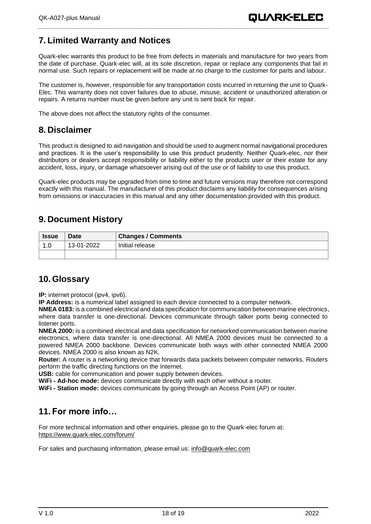## <span id="page-17-0"></span>**7. Limited Warranty and Notices**

Quark-elec warrants this product to be free from defects in materials and manufacture for two years from the date of purchase. Quark-elec will, at its sole discretion, repair or replace any components that fail in normal use. Such repairs or replacement will be made at no charge to the customer for parts and labour.

The customer is, however, responsible for any transportation costs incurred in returning the unit to Quark-Elec. This warranty does not cover failures due to abuse, misuse, accident or unauthorized alteration or repairs. A returns number must be given before any unit is sent back for repair.

<span id="page-17-1"></span>The above does not affect the statutory rights of the consumer.

## **8. Disclaimer**

This product is designed to aid navigation and should be used to augment normal navigational procedures and practices. It is the user's responsibility to use this product prudently. Neither Quark-elec, nor their distributors or dealers accept responsibility or liability either to the products user or their estate for any accident, loss, injury, or damage whatsoever arising out of the use or of liability to use this product.

Quark-elec products may be upgraded from time to time and future versions may therefore not correspond exactly with this manual. The manufacturer of this product disclaims any liability for consequences arising from omissions or inaccuracies in this manual and any other documentation provided with this product.

## <span id="page-17-2"></span>**9. Document History**

| <b>Issue</b> | <b>Date</b> | <b>Changes / Comments</b> |
|--------------|-------------|---------------------------|
| 1.0          | 13-01-2022  | Initial release           |
|              |             |                           |

## <span id="page-17-3"></span>**10.Glossary**

**IP:** internet protocol (ipv4, ipv6).

**IP Address:** is a numerical label assigned to each device connected to a computer network.

**NMEA 0183:** is a combined electrical and data specification for communication between marine electronics, where data transfer is one-directional. Devices communicate through talker ports being connected to listener ports.

**NMEA 2000:** is a combined electrical and data specification for networked communication between marine electronics, where data transfer is one-directional. All NMEA 2000 devices must be connected to a powered NMEA 2000 backbone. Devices communicate both ways with other connected NMEA 2000 devices. NMEA 2000 is also known as N2K.

**Router:** A router is a networking device that forwards data packets between computer networks. Routers perform the traffic directing functions on the Internet.

**USB:** cable for communication and power supply between devices.

**WiFi - Ad-hoc mode:** devices communicate directly with each other without a router.

**WiFi - Station mode:** devices communicate by going through an Access Point (AP) or router.

## <span id="page-17-4"></span>**11.For more info…**

For more technical information and other enquiries, please go to the Quark-elec forum at: <https://www.quark-elec.com/forum/>

For sales and purchasing information, please email us: [info@quark-elec.com](mailto:info@quark-elec.com)